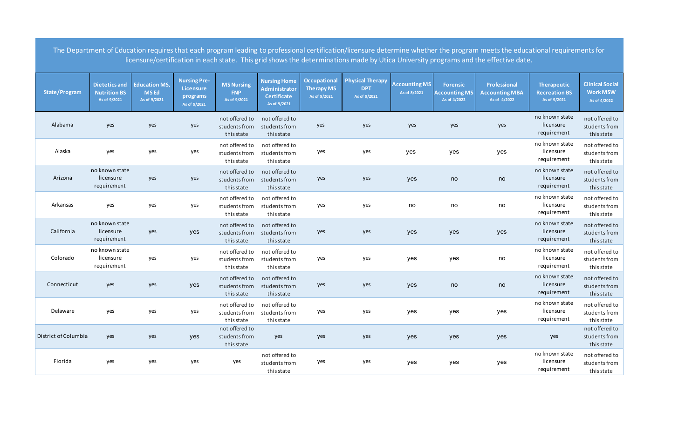|                      |                                                             |                                                     |                                                              |                                                 |                                                                                   |                                                          |                                                       |                                      |                                                         | The Department of Education requires that each program leading to professional certification/licensure determine whether the program meets the educational requirements for<br>licensure/certification in each state. This grid shows the determinations made by Utica University programs and the effective date. |                                                            |                                                           |
|----------------------|-------------------------------------------------------------|-----------------------------------------------------|--------------------------------------------------------------|-------------------------------------------------|-----------------------------------------------------------------------------------|----------------------------------------------------------|-------------------------------------------------------|--------------------------------------|---------------------------------------------------------|--------------------------------------------------------------------------------------------------------------------------------------------------------------------------------------------------------------------------------------------------------------------------------------------------------------------|------------------------------------------------------------|-----------------------------------------------------------|
| <b>State/Program</b> | <b>Dietetics and</b><br><b>Nutrition BS</b><br>As of 9/2021 | <b>Education MS,</b><br><b>MSEd</b><br>As of 9/2021 | <b>Nursing Pre-</b><br>Licensure<br>programs<br>As of 9/2021 | <b>MS Nursing</b><br><b>FNP</b><br>As of 9/2021 | <b>Nursing Home</b><br><b>Administrator</b><br><b>Certificate</b><br>As of 9/2021 | <b>Occupational</b><br><b>Therapy MS</b><br>As of 9/2021 | <b>Physical Therapy</b><br><b>DPT</b><br>As of 9/2021 | <b>Accounting MS</b><br>As of 8/2021 | <b>Forensic</b><br><b>Accounting MS</b><br>As of 4/2022 | <b>Professional</b><br><b>Accounting MBA</b><br>As of 4/2022                                                                                                                                                                                                                                                       | <b>Therapeutic</b><br><b>Recreation BS</b><br>As of 9/2021 | <b>Clinical Social</b><br><b>Work MSW</b><br>As of 4/2022 |
| Alabama              | yes                                                         | yes                                                 | yes                                                          | not offered to<br>students from<br>this state   | not offered to<br>students from<br>this state                                     | yes                                                      | yes                                                   | yes                                  | yes                                                     | yes                                                                                                                                                                                                                                                                                                                | no known state<br>licensure<br>requirement                 | not offered to<br>students from<br>this state             |
| Alaska               | yes                                                         | yes                                                 | yes                                                          | not offered to<br>students from<br>this state   | not offered to<br>students from<br>this state                                     | yes                                                      | yes                                                   | yes                                  | yes                                                     | yes                                                                                                                                                                                                                                                                                                                | no known state<br>licensure<br>requirement                 | not offered to<br>students from<br>this state             |
| Arizona              | no known state<br>licensure<br>requirement                  | yes                                                 | yes                                                          | not offered to<br>students from<br>this state   | not offered to<br>students from<br>this state                                     | yes                                                      | yes                                                   | yes                                  | no                                                      | no                                                                                                                                                                                                                                                                                                                 | no known state<br>licensure<br>requirement                 | not offered to<br>students from<br>this state             |
| Arkansas             | yes                                                         | yes                                                 | yes                                                          | not offered to<br>students from<br>this state   | not offered to<br>students from<br>this state                                     | yes                                                      | yes                                                   | no                                   | no                                                      | $\mathop{\mathsf{no}}$                                                                                                                                                                                                                                                                                             | no known state<br>licensure<br>requirement                 | not offered to<br>students from<br>this state             |
| California           | no known state<br>licensure<br>requirement                  | yes                                                 | yes                                                          | not offered to<br>students from<br>this state   | not offered to<br>students from<br>this state                                     | yes                                                      | yes                                                   | yes                                  | yes                                                     | yes                                                                                                                                                                                                                                                                                                                | no known state<br>licensure<br>requirement                 | not offered to<br>students from<br>this state             |
| Colorado             | no known state<br>licensure<br>requirement                  | yes                                                 | yes                                                          | not offered to<br>students from<br>this state   | not offered to<br>students from<br>this state                                     | yes                                                      | yes                                                   | yes                                  | yes                                                     | $\mathop{\mathsf{no}}$                                                                                                                                                                                                                                                                                             | no known state<br>licensure<br>requirement                 | not offered to<br>students from<br>this state             |
| Connecticut          | yes                                                         | yes                                                 | yes                                                          | not offered to<br>students from<br>this state   | not offered to<br>students from<br>this state                                     | yes                                                      | yes                                                   | yes                                  | no                                                      | $\mathop{\mathsf{no}}$                                                                                                                                                                                                                                                                                             | no known state<br>licensure<br>requirement                 | not offered to<br>students from<br>this state             |
| Delaware             | yes                                                         | yes                                                 | yes                                                          | not offered to<br>students from<br>this state   | not offered to<br>students from<br>this state                                     | yes                                                      | yes                                                   | yes                                  | yes                                                     | yes                                                                                                                                                                                                                                                                                                                | no known state<br>licensure<br>requirement                 | not offered to<br>students from<br>this state             |
| District of Columbia | yes                                                         | yes                                                 | yes                                                          | not offered to<br>students from<br>this state   | yes                                                                               | yes                                                      | yes                                                   | yes                                  | yes                                                     | yes                                                                                                                                                                                                                                                                                                                | yes                                                        | not offered to<br>students from<br>this state             |
| Florida              | yes                                                         | yes                                                 | yes                                                          | yes                                             | not offered to<br>students from<br>this state                                     | yes                                                      | yes                                                   | yes                                  | yes                                                     | yes                                                                                                                                                                                                                                                                                                                | no known state<br>licensure<br>requirement                 | not offered to<br>students from<br>this state             |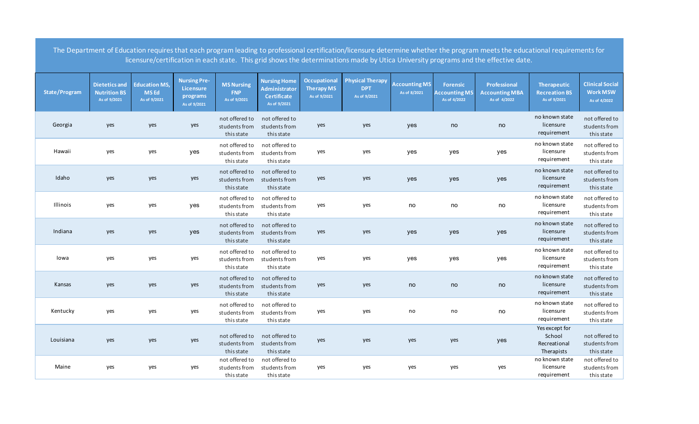|               |                                                             |                                                     |                                                              |                                                 |                                                                                   |                                                          |                                                       |                                      |                                                         | The Department of Education requires that each program leading to professional certification/licensure determine whether the program meets the educational requirements for<br>licensure/certification in each state. This grid shows the determinations made by Utica University programs and the effective date. |                                                            |                                                           |
|---------------|-------------------------------------------------------------|-----------------------------------------------------|--------------------------------------------------------------|-------------------------------------------------|-----------------------------------------------------------------------------------|----------------------------------------------------------|-------------------------------------------------------|--------------------------------------|---------------------------------------------------------|--------------------------------------------------------------------------------------------------------------------------------------------------------------------------------------------------------------------------------------------------------------------------------------------------------------------|------------------------------------------------------------|-----------------------------------------------------------|
| State/Program | <b>Dietetics and</b><br><b>Nutrition BS</b><br>As of 9/2021 | <b>Education MS,</b><br><b>MSEd</b><br>As of 9/2021 | <b>Nursing Pre-</b><br>Licensure<br>programs<br>As of 9/2021 | <b>MS Nursing</b><br><b>FNP</b><br>As of 9/2021 | <b>Nursing Home</b><br><b>Administrator</b><br><b>Certificate</b><br>As of 9/2021 | <b>Occupational</b><br><b>Therapy MS</b><br>As of 9/2021 | <b>Physical Therapy</b><br><b>DPT</b><br>As of 9/2021 | <b>Accounting MS</b><br>As of 8/2021 | <b>Forensic</b><br><b>Accounting MS</b><br>As of 4/2022 | Professional<br><b>Accounting MBA</b><br>As of 4/2022                                                                                                                                                                                                                                                              | <b>Therapeutic</b><br><b>Recreation BS</b><br>As of 9/2021 | <b>Clinical Social</b><br><b>Work MSW</b><br>As of 4/2022 |
| Georgia       | yes                                                         | yes                                                 | yes                                                          | not offered to<br>students from<br>this state   | not offered to<br>students from<br>this state                                     | yes                                                      | yes                                                   | yes                                  | no                                                      | no                                                                                                                                                                                                                                                                                                                 | no known state<br>licensure<br>requirement                 | not offered to<br>students from<br>this state             |
| Hawaii        | yes                                                         | yes                                                 | yes                                                          | not offered to<br>students from<br>this state   | not offered to<br>students from<br>this state                                     | yes                                                      | yes                                                   | yes                                  | yes                                                     | yes                                                                                                                                                                                                                                                                                                                | no known state<br>licensure<br>requirement                 | not offered to<br>students from<br>this state             |
| Idaho         | yes                                                         | yes                                                 | yes                                                          | not offered to<br>students from<br>this state   | not offered to<br>students from<br>this state                                     | yes                                                      | yes                                                   | yes                                  | yes                                                     | yes                                                                                                                                                                                                                                                                                                                | no known state<br>licensure<br>requirement                 | not offered to<br>students from<br>this state             |
| Illinois      | yes                                                         | yes                                                 | yes                                                          | not offered to<br>students from<br>this state   | not offered to<br>students from<br>this state                                     | yes                                                      | yes                                                   | no                                   | no                                                      | no                                                                                                                                                                                                                                                                                                                 | no known state<br>licensure<br>requirement                 | not offered to<br>students from<br>this state             |
| Indiana       | yes                                                         | yes                                                 | yes                                                          | not offered to<br>students from<br>this state   | not offered to<br>students from<br>this state                                     | yes                                                      | yes                                                   | yes                                  | yes                                                     | yes                                                                                                                                                                                                                                                                                                                | no known state<br>licensure<br>requirement                 | not offered to<br>students from<br>this state             |
| lowa          | yes                                                         | yes                                                 | yes                                                          | not offered to<br>students from<br>this state   | not offered to<br>students from<br>this state                                     | yes                                                      | yes                                                   | yes                                  | yes                                                     | yes                                                                                                                                                                                                                                                                                                                | no known state<br>licensure<br>requirement                 | not offered to<br>students from<br>this state             |
| Kansas        | yes                                                         | yes                                                 | yes                                                          | not offered to<br>students from<br>this state   | not offered to<br>students from<br>this state                                     | yes                                                      | yes                                                   | no                                   | no                                                      | no                                                                                                                                                                                                                                                                                                                 | no known state<br>licensure<br>requirement                 | not offered to<br>students from<br>this state             |
| Kentucky      | yes                                                         | yes                                                 | yes                                                          | not offered to<br>students from<br>this state   | not offered to<br>students from<br>this state                                     | yes                                                      | yes                                                   | $\mathsf{no}$                        | no                                                      | no                                                                                                                                                                                                                                                                                                                 | no known state<br>licensure<br>requirement                 | not offered to<br>students from<br>this state             |
| Louisiana     | yes                                                         | yes                                                 | yes                                                          | not offered to<br>students from<br>this state   | not offered to<br>students from<br>this state                                     | yes                                                      | yes                                                   | yes                                  | yes                                                     | yes                                                                                                                                                                                                                                                                                                                | Yes except for<br>School<br>Recreational<br>Therapists     | not offered to<br>students from<br>this state             |
| Maine         | yes                                                         | yes                                                 | yes                                                          | not offered to<br>students from<br>this state   | not offered to<br>students from<br>this state                                     | yes                                                      | yes                                                   | yes                                  | yes                                                     | yes                                                                                                                                                                                                                                                                                                                | no known state<br>licensure<br>requirement                 | not offered to<br>students from<br>this state             |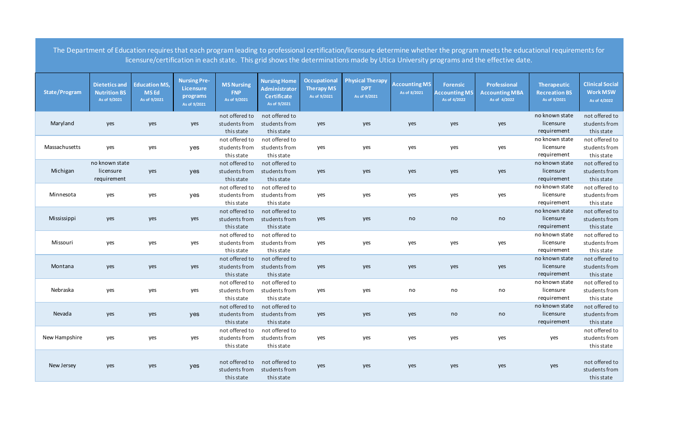|               |                                                             |                                                     |                                                              |                                                 |                                                                            |                                                   |                                                       |                                      |                                                         | The Department of Education requires that each program leading to professional certification/licensure determine whether the program meets the educational requirements for<br>licensure/certification in each state. This grid shows the determinations made by Utica University programs and the effective date. |                                                            |                                                           |
|---------------|-------------------------------------------------------------|-----------------------------------------------------|--------------------------------------------------------------|-------------------------------------------------|----------------------------------------------------------------------------|---------------------------------------------------|-------------------------------------------------------|--------------------------------------|---------------------------------------------------------|--------------------------------------------------------------------------------------------------------------------------------------------------------------------------------------------------------------------------------------------------------------------------------------------------------------------|------------------------------------------------------------|-----------------------------------------------------------|
| State/Program | <b>Dietetics and</b><br><b>Nutrition BS</b><br>As of 9/2021 | <b>Education MS,</b><br><b>MSEd</b><br>As of 9/2021 | <b>Nursing Pre-</b><br>Licensure<br>programs<br>As of 9/2021 | <b>MS Nursing</b><br><b>FNP</b><br>As of 9/2021 | <b>Nursing Home</b><br>Administrator<br><b>Certificate</b><br>As of 9/2021 | Occupational<br><b>Therapy MS</b><br>As of 9/2021 | <b>Physical Therapy</b><br><b>DPT</b><br>As of 9/2021 | <b>Accounting MS</b><br>As of 8/2021 | <b>Forensic</b><br><b>Accounting MS</b><br>As of 4/2022 | Professional<br><b>Accounting MBA</b><br>As of 4/2022                                                                                                                                                                                                                                                              | <b>Therapeutic</b><br><b>Recreation BS</b><br>As of 9/2021 | <b>Clinical Social</b><br><b>Work MSW</b><br>As of 4/2022 |
| Maryland      | yes                                                         | yes                                                 | yes                                                          | not offered to<br>students from<br>this state   | not offered to<br>students from<br>this state                              | yes                                               | yes                                                   | yes                                  | yes                                                     | yes                                                                                                                                                                                                                                                                                                                | no known state<br>licensure<br>requirement                 | not offered to<br>students from<br>this state             |
| Massachusetts | yes                                                         | yes                                                 | yes                                                          | not offered to<br>students from<br>this state   | not offered to<br>students from<br>this state                              | yes                                               | yes                                                   | yes                                  | yes                                                     | yes                                                                                                                                                                                                                                                                                                                | no known state<br>licensure<br>requirement                 | not offered to<br>students from<br>this state             |
| Michigan      | no known state<br>licensure<br>requirement                  | yes                                                 | yes                                                          | not offered to<br>students from<br>this state   | not offered to<br>students from<br>this state                              | yes                                               | yes                                                   | yes                                  | yes                                                     | yes                                                                                                                                                                                                                                                                                                                | no known state<br>licensure<br>requirement                 | not offered to<br>students from<br>this state             |
| Minnesota     | yes                                                         | yes                                                 | yes                                                          | not offered to<br>students from<br>this state   | not offered to<br>students from<br>this state                              | yes                                               | yes                                                   | yes                                  | yes                                                     | yes                                                                                                                                                                                                                                                                                                                | no known state<br>licensure<br>requirement                 | not offered to<br>students from<br>this state             |
| Mississippi   | yes                                                         | yes                                                 | yes                                                          | not offered to<br>students from<br>this state   | not offered to<br>students from<br>this state                              | yes                                               | yes                                                   | no                                   | no                                                      | no                                                                                                                                                                                                                                                                                                                 | no known state<br>licensure<br>requirement                 | not offered to<br>students from<br>this state             |
| Missouri      | yes                                                         | yes                                                 | yes                                                          | not offered to<br>students from<br>this state   | not offered to<br>students from<br>this state                              | yes                                               | yes                                                   | yes                                  | yes                                                     | yes                                                                                                                                                                                                                                                                                                                | no known state<br>licensure<br>requirement                 | not offered to<br>students from<br>this state             |
| Montana       | yes                                                         | yes                                                 | yes                                                          | not offered to<br>students from<br>this state   | not offered to<br>students from<br>this state                              | yes                                               | yes                                                   | yes                                  | yes                                                     | yes                                                                                                                                                                                                                                                                                                                | no known state<br>licensure<br>requirement                 | not offered to<br>students from<br>this state             |
| Nebraska      | yes                                                         | yes                                                 | yes                                                          | not offered to<br>students from<br>this state   | not offered to<br>students from<br>this state                              | yes                                               | yes                                                   | no                                   | no                                                      | no                                                                                                                                                                                                                                                                                                                 | no known state<br>licensure<br>requirement                 | not offered to<br>students from<br>this state             |
| Nevada        | yes                                                         | yes                                                 | yes                                                          | not offered to<br>students from<br>this state   | not offered to<br>students from<br>this state                              | yes                                               | yes                                                   | yes                                  | no                                                      | no                                                                                                                                                                                                                                                                                                                 | no known state<br>licensure<br>requirement                 | not offered to<br>students from<br>this state             |
| New Hampshire | yes                                                         | yes                                                 | yes                                                          | not offered to<br>students from<br>this state   | not offered to<br>students from<br>this state                              | yes                                               | yes                                                   | yes                                  | yes                                                     | yes                                                                                                                                                                                                                                                                                                                | yes                                                        | not offered to<br>students from<br>this state             |
| New Jersey    | yes                                                         | yes                                                 | yes                                                          | not offered to<br>students from<br>this state   | not offered to<br>students from<br>this state                              | yes                                               | yes                                                   | yes                                  | yes                                                     | yes                                                                                                                                                                                                                                                                                                                | yes                                                        | not offered to<br>students from<br>this state             |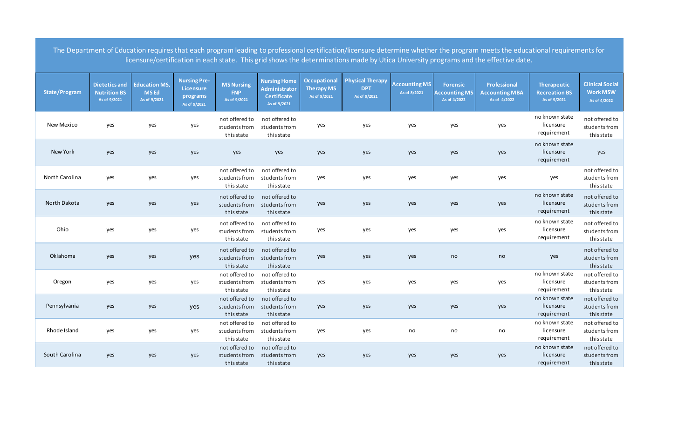|                      |                                                             |                                                     |                                                              |                                                 |                                                                            |                                                   |                                                       |                                      |                                                         | The Department of Education requires that each program leading to professional certification/licensure determine whether the program meets the educational requirements for<br>licensure/certification in each state. This grid shows the determinations made by Utica University programs and the effective date. |                                                            |                                                           |
|----------------------|-------------------------------------------------------------|-----------------------------------------------------|--------------------------------------------------------------|-------------------------------------------------|----------------------------------------------------------------------------|---------------------------------------------------|-------------------------------------------------------|--------------------------------------|---------------------------------------------------------|--------------------------------------------------------------------------------------------------------------------------------------------------------------------------------------------------------------------------------------------------------------------------------------------------------------------|------------------------------------------------------------|-----------------------------------------------------------|
| <b>State/Program</b> | <b>Dietetics and</b><br><b>Nutrition BS</b><br>As of 9/2021 | <b>Education MS,</b><br><b>MSEd</b><br>As of 9/2021 | <b>Nursing Pre-</b><br>Licensure<br>programs<br>As of 9/2021 | <b>MS Nursing</b><br><b>FNP</b><br>As of 9/2021 | <b>Nursing Home</b><br>Administrator<br><b>Certificate</b><br>As of 9/2021 | Occupational<br><b>Therapy MS</b><br>As of 9/2021 | <b>Physical Therapy</b><br><b>DPT</b><br>As of 9/2021 | <b>Accounting MS</b><br>As of 8/2021 | <b>Forensic</b><br><b>Accounting MS</b><br>As of 4/2022 | Professional<br><b>Accounting MBA</b><br>As of 4/2022                                                                                                                                                                                                                                                              | <b>Therapeutic</b><br><b>Recreation BS</b><br>As of 9/2021 | <b>Clinical Social</b><br><b>Work MSW</b><br>As of 4/2022 |
| New Mexico           | yes                                                         | yes                                                 | yes                                                          | not offered to<br>students from<br>this state   | not offered to<br>students from<br>this state                              | yes                                               | yes                                                   | yes                                  | yes                                                     | yes                                                                                                                                                                                                                                                                                                                | no known state<br>licensure<br>requirement                 | not offered to<br>students from<br>this state             |
| New York             | yes                                                         | yes                                                 | yes                                                          | yes                                             | yes                                                                        | yes                                               | yes                                                   | yes                                  | yes                                                     | yes                                                                                                                                                                                                                                                                                                                | no known state<br>licensure<br>requirement                 | yes                                                       |
| North Carolina       | yes                                                         | yes                                                 | yes                                                          | not offered to<br>students from<br>this state   | not offered to<br>students from<br>this state                              | yes                                               | yes                                                   | yes                                  | yes                                                     | yes                                                                                                                                                                                                                                                                                                                | yes                                                        | not offered to<br>students from<br>this state             |
| North Dakota         | yes                                                         | yes                                                 | yes                                                          | not offered to<br>students from<br>this state   | not offered to<br>students from<br>this state                              | yes                                               | yes                                                   | yes                                  | yes                                                     | yes                                                                                                                                                                                                                                                                                                                | no known state<br>licensure<br>requirement                 | not offered to<br>students from<br>this state             |
| Ohio                 | yes                                                         | yes                                                 | yes                                                          | not offered to<br>students from<br>this state   | not offered to<br>students from<br>this state                              | yes                                               | yes                                                   | yes                                  | yes                                                     | yes                                                                                                                                                                                                                                                                                                                | no known state<br>licensure<br>requirement                 | not offered to<br>students from<br>this state             |
| Oklahoma             | yes                                                         | yes                                                 | yes                                                          | not offered to<br>students from<br>this state   | not offered to<br>students from<br>this state                              | yes                                               | yes                                                   | yes                                  | no                                                      | no                                                                                                                                                                                                                                                                                                                 | yes                                                        | not offered to<br>students from<br>this state             |
| Oregon               | yes                                                         | yes                                                 | yes                                                          | not offered to<br>students from<br>this state   | not offered to<br>students from<br>this state                              | yes                                               | yes                                                   | yes                                  | yes                                                     | yes                                                                                                                                                                                                                                                                                                                | no known state<br>licensure<br>requirement                 | not offered to<br>students from<br>this state             |
| Pennsylvania         | yes                                                         | yes                                                 | yes                                                          | not offered to<br>students from<br>this state   | not offered to<br>students from<br>this state                              | yes                                               | yes                                                   | yes                                  | yes                                                     | yes                                                                                                                                                                                                                                                                                                                | no known state<br>licensure<br>requirement                 | not offered to<br>students from<br>this state             |
| Rhode Island         | yes                                                         | yes                                                 | yes                                                          | not offered to<br>students from<br>this state   | not offered to<br>students from<br>this state                              | yes                                               | yes                                                   | no                                   | no                                                      | no                                                                                                                                                                                                                                                                                                                 | no known state<br>licensure<br>requirement                 | not offered to<br>students from<br>this state             |
| South Carolina       | yes                                                         | yes                                                 | yes                                                          | not offered to<br>students from<br>this state   | not offered to<br>students from<br>this state                              | yes                                               | yes                                                   | yes                                  | yes                                                     | yes                                                                                                                                                                                                                                                                                                                | no known state<br>licensure<br>requirement                 | not offered to<br>students from<br>this state             |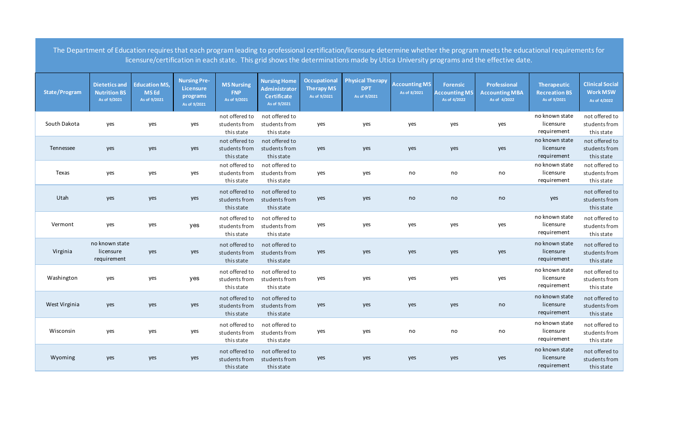|               |                                                             |                                                     |                                                                     |                                                 |                                                                     |                                                   |                                                       |                                      |                                                         | The Department of Education requires that each program leading to professional certification/licensure determine whether the program meets the educational requirements for<br>licensure/certification in each state. This grid shows the determinations made by Utica University programs and the effective date. |                                                     |                                                           |
|---------------|-------------------------------------------------------------|-----------------------------------------------------|---------------------------------------------------------------------|-------------------------------------------------|---------------------------------------------------------------------|---------------------------------------------------|-------------------------------------------------------|--------------------------------------|---------------------------------------------------------|--------------------------------------------------------------------------------------------------------------------------------------------------------------------------------------------------------------------------------------------------------------------------------------------------------------------|-----------------------------------------------------|-----------------------------------------------------------|
| State/Program | <b>Dietetics and</b><br><b>Nutrition BS</b><br>As of 9/2021 | <b>Education MS,</b><br><b>MSEd</b><br>As of 9/2021 | <b>Nursing Pre-</b><br><b>Licensure</b><br>programs<br>As of 9/2021 | <b>MS Nursing</b><br><b>FNP</b><br>As of 9/2021 | <b>Nursing Home</b><br>Administrator<br>Certificate<br>As of 9/2021 | Occupational<br><b>Therapy MS</b><br>As of 9/2021 | <b>Physical Therapy</b><br><b>DPT</b><br>As of 9/2021 | <b>Accounting MS</b><br>As of 8/2021 | <b>Forensic</b><br><b>Accounting MS</b><br>As of 4/2022 | <b>Professional</b><br><b>Accounting MBA</b><br>As of 4/2022                                                                                                                                                                                                                                                       | Therapeutic<br><b>Recreation BS</b><br>As of 9/2021 | <b>Clinical Social</b><br><b>Work MSW</b><br>As of 4/2022 |
| South Dakota  | yes                                                         | yes                                                 | yes                                                                 | not offered to<br>students from<br>this state   | not offered to<br>students from<br>this state                       | yes                                               | yes                                                   | yes                                  | yes                                                     | yes                                                                                                                                                                                                                                                                                                                | no known state<br>licensure<br>requirement          | not offered to<br>students from<br>this state             |
| Tennessee     | yes                                                         | yes                                                 | yes                                                                 | not offered to<br>students from<br>this state   | not offered to<br>students from<br>this state                       | yes                                               | yes                                                   | yes                                  | yes                                                     | yes                                                                                                                                                                                                                                                                                                                | no known state<br>licensure<br>requirement          | not offered to<br>students from<br>this state             |
| Texas         | yes                                                         | yes                                                 | yes                                                                 | not offered to<br>students from<br>this state   | not offered to<br>students from<br>this state                       | yes                                               | yes                                                   | no                                   | no                                                      | no                                                                                                                                                                                                                                                                                                                 | no known state<br>licensure<br>requirement          | not offered to<br>students from<br>this state             |
| Utah          | yes                                                         | yes                                                 | yes                                                                 | not offered to<br>students from<br>this state   | not offered to<br>students from<br>this state                       | yes                                               | yes                                                   | no                                   | no                                                      | no                                                                                                                                                                                                                                                                                                                 | yes                                                 | not offered to<br>students from<br>this state             |
| Vermont       | yes                                                         | yes                                                 | yes                                                                 | not offered to<br>students from<br>this state   | not offered to<br>students from<br>this state                       | yes                                               | yes                                                   | yes                                  | yes                                                     | yes                                                                                                                                                                                                                                                                                                                | no known state<br>licensure<br>requirement          | not offered to<br>students from<br>this state             |
| Virginia      | no known state<br>licensure<br>requirement                  | yes                                                 | yes                                                                 | not offered to<br>students from<br>this state   | not offered to<br>students from<br>this state                       | yes                                               | yes                                                   | yes                                  | yes                                                     | yes                                                                                                                                                                                                                                                                                                                | no known state<br>licensure<br>requirement          | not offered to<br>students from<br>this state             |
| Washington    | yes                                                         | yes                                                 | yes                                                                 | not offered to<br>students from<br>this state   | not offered to<br>students from<br>this state                       | yes                                               | yes                                                   | yes                                  | yes                                                     | yes                                                                                                                                                                                                                                                                                                                | no known state<br>licensure<br>requirement          | not offered to<br>students from<br>this state             |
| West Virginia | yes                                                         | yes                                                 | yes                                                                 | not offered to<br>students from<br>this state   | not offered to<br>students from<br>this state                       | yes                                               | yes                                                   | yes                                  | yes                                                     | no                                                                                                                                                                                                                                                                                                                 | no known state<br>licensure<br>requirement          | not offered to<br>students from<br>this state             |
| Wisconsin     | yes                                                         | yes                                                 | yes                                                                 | not offered to<br>students from<br>this state   | not offered to<br>students from<br>this state                       | yes                                               | yes                                                   | no                                   | no                                                      | no                                                                                                                                                                                                                                                                                                                 | no known state<br>licensure<br>requirement          | not offered to<br>students from<br>this state             |
| Wyoming       | yes                                                         | yes                                                 | yes                                                                 | not offered to<br>students from<br>this state   | not offered to<br>students from<br>this state                       | yes                                               | yes                                                   | yes                                  | yes                                                     | yes                                                                                                                                                                                                                                                                                                                | no known state<br>licensure<br>requirement          | not offered to<br>students from<br>this state             |